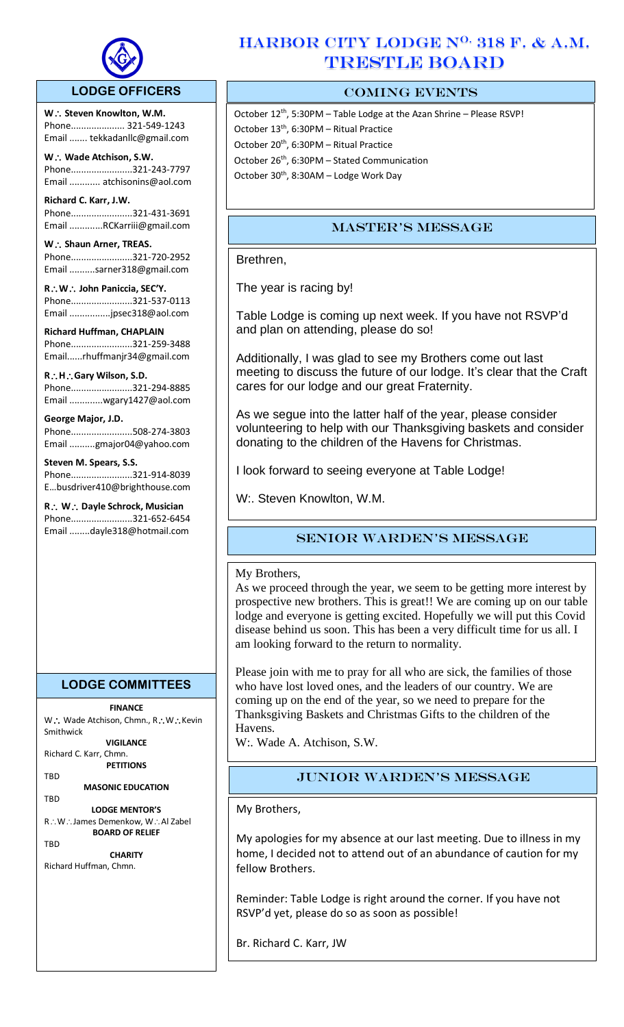

## **LODGE OFFICERS**

W.: Steven Knowlton, W.M. Phone..................... 321-549-1243 Email ....... tekkadanllc@gmail.com

l,

**W Wade Atchison, S.W.** Phone........................321-243-7797 Email ............ atchisonins@aol.com

**Richard C. Karr, J.W.**  Phone........................321-431-3691 Email .............RCKarriii@gmail.com

W.: Shaun Arner, TREAS. Phone........................321-720-2952 Email ..........sarner318@gmail.com

**RW John Paniccia, SEC'Y.** Phone........................321-537-0113 Email ................jpsec318@aol.com

**Richard Huffman, CHAPLAIN** Phone........................321-259-3488 Email......rhuffmanjr34@gmail.com

**RHGary Wilson, S.D.**  Phone........................321-294-8885 Email .............wgary1427@aol.com

**George Major, J.D.** Phone........................508-274-3803 Email ..........gmajor04@yahoo.com

**Steven M. Spears, S.S.** Phone........................321-914-8039 E…busdriver410@brighthouse.com

**R** ∴ **W** ∴ Dayle Schrock, Musician Phone........................321-652-6454 Email ........dayle318@hotmail.com

# **LODGE COMMITTEES**

**FINANCE**

W .: Wade Atchison, Chmn., R .: W .: Kevin Smithwick

**VIGILANCE** Richard C. Karr, Chmn.

**PETITIONS** TBD

**MASONIC EDUCATION**

TBD **LODGE MENTOR'S** R∴W∴James Demenkow, W∴Al Zabel **BOARD OF RELIEF**

**TRD** 

**CHARITY** Richard Huffman, Chmn.

# HARBOR CITY LODGE N<sup>O.</sup> 318 F. & A.M. TRESTLE BOARD

# COMING EVENTS

October  $12^{th}$ , 5:30PM – Table Lodge at the Azan Shrine – Please RSVP! October 13<sup>th</sup>, 6:30PM - Ritual Practice October 20<sup>th</sup>, 6:30PM - Ritual Practice October 26<sup>th</sup>, 6:30PM - Stated Communication October 30<sup>th</sup>, 8:30AM - Lodge Work Day

# Master's Message

Brethren,

The year is racing by!

Table Lodge is coming up next week. If you have not RSVP'd and plan on attending, please do so!

Additionally, I was glad to see my Brothers come out last meeting to discuss the future of our lodge. It's clear that the Craft cares for our lodge and our great Fraternity.

As we segue into the latter half of the year, please consider volunteering to help with our Thanksgiving baskets and consider donating to the children of the Havens for Christmas.

I look forward to seeing everyone at Table Lodge!

W:. Steven Knowlton, W.M.

# Senior Warden's message

## My Brothers,

As we proceed through the year, we seem to be getting more interest by prospective new brothers. This is great!! We are coming up on our table lodge and everyone is getting excited. Hopefully we will put this Covid disease behind us soon. This has been a very difficult time for us all. I am looking forward to the return to normality.

Please join with me to pray for all who are sick, the families of those who have lost loved ones, and the leaders of our country. We are coming up on the end of the year, so we need to prepare for the Thanksgiving Baskets and Christmas Gifts to the children of the Havens.

W:. Wade A. Atchison, S.W.

# Junior Warden's Message

My Brothers,

My apologies for my absence at our last meeting. Due to illness in my home, I decided not to attend out of an abundance of caution for my fellow Brothers.

Reminder: Table Lodge is right around the corner. If you have not RSVP'd yet, please do so as soon as possible!

Br. Richard C. Karr, JW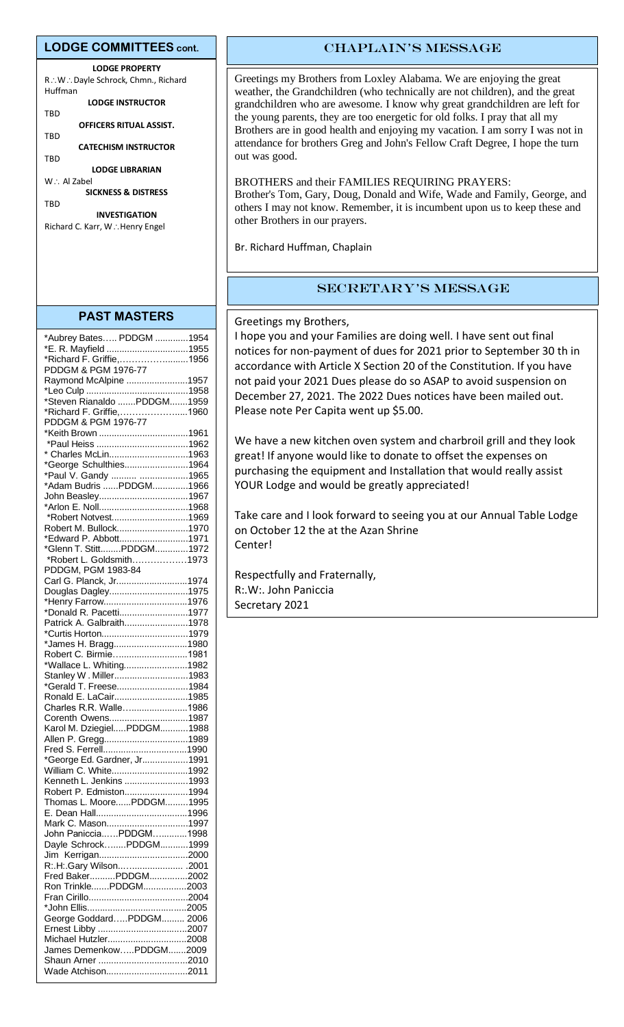#### **LODGE COMMITTEES cont.**

**LODGE PROPERTY** R∴W∴Dayle Schrock, Chmn., Richard Huffman **LODGE INSTRUCTOR**

TBD

**OFFICERS RITUAL ASSIST.** TBD

**CATECHISM INSTRUCTOR**

TBD **LODGE LIBRARIAN**

W∴ Al Zabel **SICKNESS & DISTRESS TRD** 

**INVESTIGATION** Richard C. Karr, W.: Henry Engel

### **PAST MASTERS**

| *Aubrey Bates PDDGM 1954                                        |  |
|-----------------------------------------------------------------|--|
| *E. R. Mayfield 1955                                            |  |
| *Richard F. Griffie,1956                                        |  |
| PDDGM & PGM 1976-77                                             |  |
| Raymond McAlpine 1957                                           |  |
|                                                                 |  |
| *Steven Rianaldo PDDGM1959                                      |  |
| *Richard F. Griffie,1960                                        |  |
| PDDGM & PGM 1976-77<br>PDDGM & PGM 1976-77<br>*Keith Brown 1961 |  |
|                                                                 |  |
|                                                                 |  |
| * Charles McLin1963                                             |  |
| *George Schulthies1964                                          |  |
| *Paul V. Gandy  1965                                            |  |
| *Adam Budris PDDGM1966                                          |  |
| John Beasley1967                                                |  |
|                                                                 |  |
| *Robert Notvest1969                                             |  |
| Robert M. Bullock1970                                           |  |
| *Edward P. Abbott1971                                           |  |
| *Glenn T. StittPDDGM1972                                        |  |
| *Robert L. Goldsmith1973                                        |  |
| PDDGM, PGM 1983-84                                              |  |
| Carl G. Planck, Jr1974                                          |  |
| Douglas Dagley1975                                              |  |
| *Henry Farrow1976                                               |  |
| *Donald R. Pacetti1977                                          |  |
| Patrick A. Galbraith1978                                        |  |
| *Curtis Horton1979                                              |  |
| *James H. Bragg1980                                             |  |
| Robert C. Birmie1981                                            |  |
| *Wallace L. Whiting1982                                         |  |
| Stanley W. Miller1983                                           |  |
| *Gerald T. Freese1984                                           |  |
| Ronald E. LaCair1985                                            |  |
| Charles R.R. Walle1986                                          |  |
| Corenth Owens1987                                               |  |
| Karol M. DziegielPDDGM1988                                      |  |
| Allen P. Gregg1989                                              |  |
|                                                                 |  |
| *George Ed. Gardner, Jr1991                                     |  |
| William C. White1992                                            |  |
| Kenneth L. Jenkins 1993                                         |  |
| Robert P. Edmiston1994                                          |  |
| Thomas L. MoorePDDGM1995                                        |  |
|                                                                 |  |
| Mark C. Mason1997                                               |  |
| John PanicciaPDDGM1998                                          |  |
| Dayle SchrockPDDGM1999                                          |  |
| Jim Kerrigan2000                                                |  |
| R:.H:.Gary Wilson .2001                                         |  |
| Fred BakerPDDGM2002                                             |  |
| Ron TrinklePDDGM2003                                            |  |
|                                                                 |  |
|                                                                 |  |
| George GoddardPDDGM 2006                                        |  |
|                                                                 |  |
| Michael Hutzler2008                                             |  |
| James DemenkowPDDGM2009                                         |  |
|                                                                 |  |
| Wade Atchison2011                                               |  |
|                                                                 |  |

# CHAPLAIN'S MESSAGE

Greetings my Brothers from Loxley Alabama. We are enjoying the great weather, the Grandchildren (who technically are not children), and the great grandchildren who are awesome. I know why great grandchildren are left for the young parents, they are too energetic for old folks. I pray that all my Brothers are in good health and enjoying my vacation. I am sorry I was not in attendance for brothers Greg and John's Fellow Craft Degree, I hope the turn out was good.

#### BROTHERS and their FAMILIES REQUIRING PRAYERS:

Brother's Tom, Gary, Doug, Donald and Wife, Wade and Family, George, and others I may not know. Remember, it is incumbent upon us to keep these and other Brothers in our prayers.

Br. Richard Huffman, Chaplain

### Secretary's Message

Greetings my Brothers,

I hope you and your Families are doing well. I have sent out final notices for non-payment of dues for 2021 prior to September 30 th in accordance with Article X Section 20 of the Constitution. If you have not paid your 2021 Dues please do so ASAP to avoid suspension on December 27, 2021. The 2022 Dues notices have been mailed out. Please note Per Capita went up \$5.00.

We have a new kitchen oven system and charbroil grill and they look great! If anyone would like to donate to offset the expenses on purchasing the equipment and Installation that would really assist YOUR Lodge and would be greatly appreciated!

Take care and I look forward to seeing you at our Annual Table Lodge on October 12 the at the Azan Shrine Center!

Respectfully and Fraternally, R:.W:. John Paniccia Secretary 2021